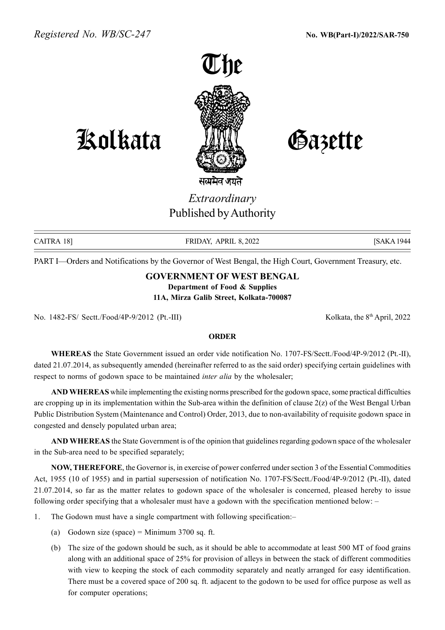

## Kolkata Gazette

## Extraordinary Published by Authority

CAITRA 18] FRIDAY, APRIL 8, 2022 [SAKA 1944]

PART I—Orders and Notifications by the Governor of West Bengal, the High Court, Government Treasury, etc.

## GOVERNMENT OF WEST BENGAL

Department of Food & Supplies

11A, Mirza Galib Street, Kolkata-700087

No. 1482-FS/ Sectt./Food/4P-9/2012 (Pt.-III) Kolkata, the 8<sup>th</sup> April, 2022

## ORDER

WHEREAS the State Government issued an order vide notification No. 1707-FS/Sectt./Food/4P-9/2012 (Pt.-II), dated 21.07.2014, as subsequently amended (hereinafter referred to as the said order) specifying certain guidelines with respect to norms of godown space to be maintained *inter alia* by the wholesaler;

AND WHEREAS while implementing the existing norms prescribed for the godown space, some practical difficulties are cropping up in its implementation within the Sub-area within the definition of clause 2(z) of the West Bengal Urban Public Distribution System (Maintenance and Control) Order, 2013, due to non-availability of requisite godown space in congested and densely populated urban area;

AND WHEREAS the State Government is of the opinion that guidelines regarding godown space of the wholesaler in the Sub-area need to be specified separately;

NOW, THEREFORE, the Governor is, in exercise of power conferred under section 3 of the Essential Commodities Act, 1955 (10 of 1955) and in partial supersession of notification No. 1707-FS/Sectt./Food/4P-9/2012 (Pt.-II), dated 21.07.2014, so far as the matter relates to godown space of the wholesaler is concerned, pleased hereby to issue following order specifying that a wholesaler must have a godown with the specification mentioned below: –

- 1. The Godown must have a single compartment with following specification:–
	- (a) Godown size (space) = Minimum  $3700$  sq. ft.
	- (b) The size of the godown should be such, as it should be able to accommodate at least 500 MT of food grains along with an additional space of 25% for provision of alleys in between the stack of different commodities with view to keeping the stock of each commodity separately and neatly arranged for easy identification. There must be a covered space of 200 sq. ft. adjacent to the godown to be used for office purpose as well as for computer operations;